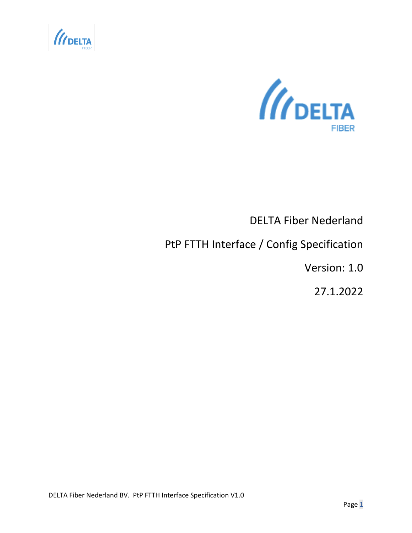



# DELTA Fiber Nederland

## PtP FTTH Interface / Config Specification

Version: 1.0

27.1.2022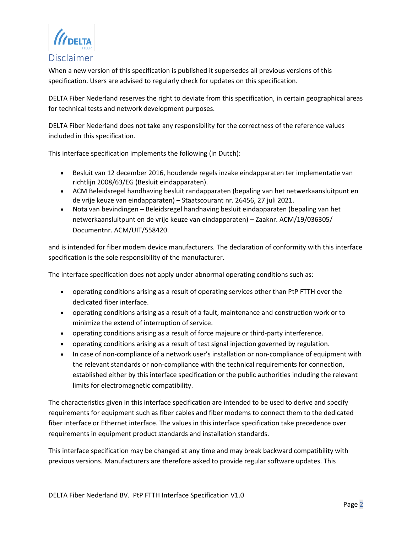*II* DELTA

#### <span id="page-1-0"></span>Disclaimer

When a new version of this specification is published it supersedes all previous versions of this specification. Users are advised to regularly check for updates on this specification.

DELTA Fiber Nederland reserves the right to deviate from this specification, in certain geographical areas for technical tests and network development purposes.

DELTA Fiber Nederland does not take any responsibility for the correctness of the reference values included in this specification.

This interface specification implements the following (in Dutch):

- Besluit van 12 december 2016, houdende regels inzake eindapparaten ter implementatie van richtlijn 2008/63/EG (Besluit eindapparaten).
- ACM Beleidsregel handhaving besluit randapparaten (bepaling van het netwerkaansluitpunt en de vrije keuze van eindapparaten) – Staatscourant nr. 26456, 27 juli 2021.
- Nota van bevindingen Beleidsregel handhaving besluit eindapparaten (bepaling van het netwerkaansluitpunt en de vrije keuze van eindapparaten) – Zaaknr. ACM/19/036305/ Documentnr. ACM/UIT/558420.

and is intended for fiber modem device manufacturers. The declaration of conformity with this interface specification is the sole responsibility of the manufacturer.

The interface specification does not apply under abnormal operating conditions such as:

- operating conditions arising as a result of operating services other than PtP FTTH over the dedicated fiber interface.
- operating conditions arising as a result of a fault, maintenance and construction work or to minimize the extend of interruption of service.
- operating conditions arising as a result of force majeure or third-party interference.
- operating conditions arising as a result of test signal injection governed by regulation.
- In case of non-compliance of a network user's installation or non-compliance of equipment with the relevant standards or non-compliance with the technical requirements for connection, established either by this interface specification or the public authorities including the relevant limits for electromagnetic compatibility.

The characteristics given in this interface specification are intended to be used to derive and specify requirements for equipment such as fiber cables and fiber modems to connect them to the dedicated fiber interface or Ethernet interface. The values in this interface specification take precedence over requirements in equipment product standards and installation standards.

This interface specification may be changed at any time and may break backward compatibility with previous versions. Manufacturers are therefore asked to provide regular software updates. This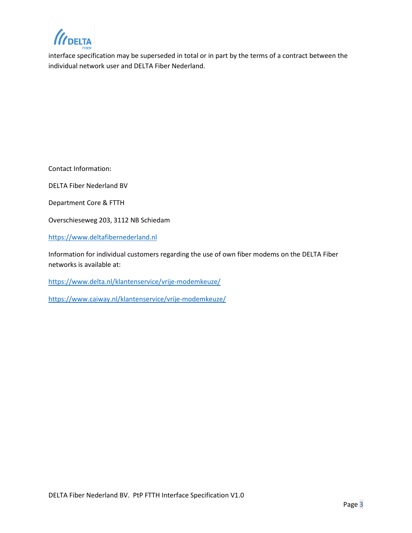**DELTA** 

interface specification may be superseded in total or in part by the terms of a contract between the individual network user and DELTA Fiber Nederland.

Contact Information:

DELTA Fiber Nederland BV

Department Core & FTTH

Overschieseweg 203, 3112 NB Schiedam

[https://www.deltafibernederland.nl](https://www.deltafibernederland.nl/)

Information for individual customers regarding the use of own fiber modems on the DELTA Fiber networks is available at:

<https://www.delta.nl/klantenservice/vrije-modemkeuze/>

<https://www.caiway.nl/klantenservice/vrije-modemkeuze/>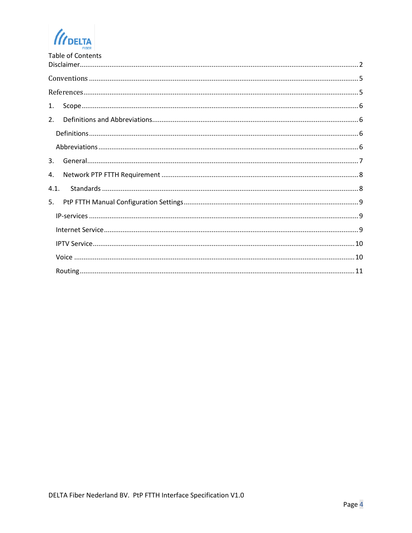$\mathcal{U}$ DELTA

| <b>Table of Contents</b> |
|--------------------------|
|                          |
|                          |
|                          |
| 1.                       |
| 2.                       |
|                          |
|                          |
| $\mathbf{3}$ .           |
| 4.                       |
| 4.1.                     |
| .5.                      |
|                          |
|                          |
|                          |
|                          |
|                          |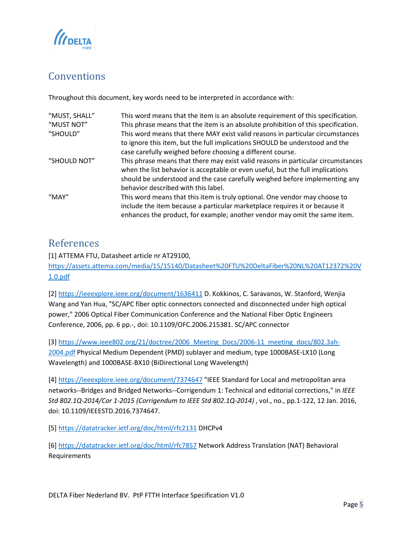

## <span id="page-4-0"></span>**Conventions**

Throughout this document, key words need to be interpreted in accordance with:

| "MUST, SHALL" | This word means that the item is an absolute requirement of this specification.   |
|---------------|-----------------------------------------------------------------------------------|
| "MUST NOT"    | This phrase means that the item is an absolute prohibition of this specification. |
| "SHOULD"      | This word means that there MAY exist valid reasons in particular circumstances    |
|               | to ignore this item, but the full implications SHOULD be understood and the       |
|               | case carefully weighed before choosing a different course.                        |
| "SHOULD NOT"  | This phrase means that there may exist valid reasons in particular circumstances  |
|               | when the list behavior is acceptable or even useful, but the full implications    |
|               | should be understood and the case carefully weighed before implementing any       |
|               | behavior described with this label.                                               |
| "MAY"         | This word means that this item is truly optional. One vendor may choose to        |
|               | include the item because a particular marketplace requires it or because it       |
|               | enhances the product, for example; another vendor may omit the same item.         |

### <span id="page-4-1"></span>References

[1] ATTEMA FTU, Datasheet article nr AT29100, [https://assets.attema.com/media/15/15140/Datasheet%20FTU%20DeltaFiber%20NL%20AT12372%20V](https://eur01.safelinks.protection.outlook.com/?url=https%3A%2F%2Fassets.attema.com%2Fmedia%2F15%2F15140%2FDatasheet%2520FTU%2520DeltaFiber%2520NL%2520AT12372%2520V1.0.pdf&data=04%7C01%7Cbart.frambach%40deltafiber.nl%7Cac982b165c304df0498108d9e0d37734%7C14ddeb6c2acb43578a39be0995309642%7C0%7C0%7C637788021273391088%7CUnknown%7CTWFpbGZsb3d8eyJWIjoiMC4wLjAwMDAiLCJQIjoiV2luMzIiLCJBTiI6Ik1haWwiLCJXVCI6Mn0%3D%7C3000&sdata=yjsI%2BcjkvvNptlk%2FmYl9501xkGcWw7Y3s4sN3UBDF1M%3D&reserved=0) [1.0.pdf](https://eur01.safelinks.protection.outlook.com/?url=https%3A%2F%2Fassets.attema.com%2Fmedia%2F15%2F15140%2FDatasheet%2520FTU%2520DeltaFiber%2520NL%2520AT12372%2520V1.0.pdf&data=04%7C01%7Cbart.frambach%40deltafiber.nl%7Cac982b165c304df0498108d9e0d37734%7C14ddeb6c2acb43578a39be0995309642%7C0%7C0%7C637788021273391088%7CUnknown%7CTWFpbGZsb3d8eyJWIjoiMC4wLjAwMDAiLCJQIjoiV2luMzIiLCJBTiI6Ik1haWwiLCJXVCI6Mn0%3D%7C3000&sdata=yjsI%2BcjkvvNptlk%2FmYl9501xkGcWw7Y3s4sN3UBDF1M%3D&reserved=0)

[2]<https://ieeexplore.ieee.org/document/1636411> D. Kokkinos, C. Saravanos, W. Stanford, Wenjia Wang and Yan Hua, "SC/APC fiber optic connectors connected and disconnected under high optical power," 2006 Optical Fiber Communication Conference and the National Fiber Optic Engineers Conference, 2006, pp. 6 pp.-, doi: 10.1109/OFC.2006.215381. SC/APC connector

[3] [https://www.ieee802.org/21/doctree/2006\\_Meeting\\_Docs/2006-11\\_meeting\\_docs/802.3ah-](https://www.ieee802.org/21/doctree/2006_Meeting_Docs/2006-11_meeting_docs/802.3ah-2004.pdf)[2004.pdf](https://www.ieee802.org/21/doctree/2006_Meeting_Docs/2006-11_meeting_docs/802.3ah-2004.pdf) Physical Medium Dependent (PMD) sublayer and medium, type 1000BASE-LX10 (Long Wavelength) and 1000BASE-BX10 (BiDirectional Long Wavelength)

[4]<https://ieeexplore.ieee.org/document/7374647> "IEEE Standard for Local and metropolitan area networks--Bridges and Bridged Networks--Corrigendum 1: Technical and editorial corrections," in *IEEE Std 802.1Q-2014/Cor 1-2015 (Corrigendum to IEEE Std 802.1Q-2014)* , vol., no., pp.1-122, 12 Jan. 2016, doi: 10.1109/IEEESTD.2016.7374647.

[5] [https://datatracker.ietf.org/doc/html/rfc2131](https://datatracker.ietf.org/doc/html/rfc2131%20DHCPv4) DHCPv4

[6]<https://datatracker.ietf.org/doc/html/rfc7857> Network Address Translation (NAT) Behavioral Requirements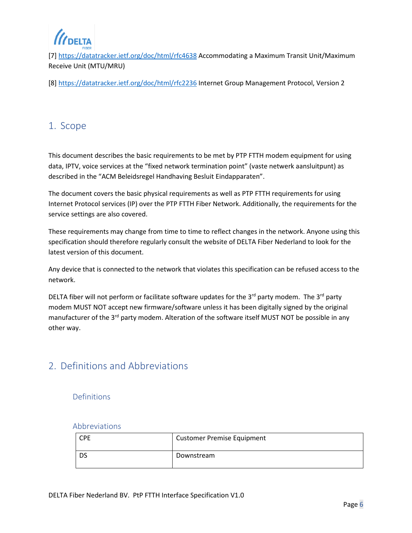**DELTA** 

[7] <https://datatracker.ietf.org/doc/html/rfc4638> Accommodating a Maximum Transit Unit/Maximum Receive Unit (MTU/MRU)

[8]<https://datatracker.ietf.org/doc/html/rfc2236> Internet Group Management Protocol, Version 2

#### <span id="page-5-0"></span>1. Scope

This document describes the basic requirements to be met by PTP FTTH modem equipment for using data, IPTV, voice services at the "fixed network termination point" (vaste netwerk aansluitpunt) as described in the "ACM Beleidsregel Handhaving Besluit Eindapparaten".

The document covers the basic physical requirements as well as PTP FTTH requirements for using Internet Protocol services (IP) over the PTP FTTH Fiber Network. Additionally, the requirements for the service settings are also covered.

These requirements may change from time to time to reflect changes in the network. Anyone using this specification should therefore regularly consult the website of DELTA Fiber Nederland to look for the latest version of this document.

Any device that is connected to the network that violates this specification can be refused access to the network.

DELTA fiber will not perform or facilitate software updates for the  $3^{rd}$  party modem. The  $3^{rd}$  party modem MUST NOT accept new firmware/software unless it has been digitally signed by the original manufacturer of the 3<sup>rd</sup> party modem. Alteration of the software itself MUST NOT be possible in any other way.

#### <span id="page-5-1"></span>2. Definitions and Abbreviations

<span id="page-5-2"></span>Definitions

#### <span id="page-5-3"></span>Abbreviations

| <b>CPE</b> | <b>Customer Premise Equipment</b> |
|------------|-----------------------------------|
| DS         | Downstream                        |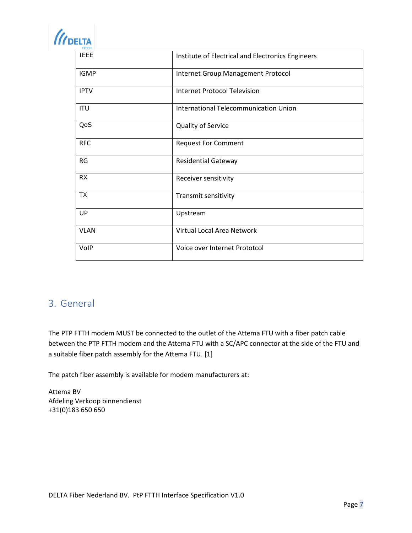| <b>III</b> DELTA |
|------------------|
| -IBER            |

| <b>IEEE</b> | Institute of Electrical and Electronics Engineers |
|-------------|---------------------------------------------------|
| <b>IGMP</b> | Internet Group Management Protocol                |
| <b>IPTV</b> | <b>Internet Protocol Television</b>               |
| <b>ITU</b>  | International Telecommunication Union             |
| QoS         | Quality of Service                                |
| <b>RFC</b>  | <b>Request For Comment</b>                        |
| RG          | Residential Gateway                               |
| <b>RX</b>   | Receiver sensitivity                              |
| <b>TX</b>   | Transmit sensitivity                              |
| UP          | Upstream                                          |
| <b>VLAN</b> | Virtual Local Area Network                        |
| VolP        | Voice over Internet Prototcol                     |

### <span id="page-6-0"></span>3. General

The PTP FTTH modem MUST be connected to the outlet of the Attema FTU with a fiber patch cable between the PTP FTTH modem and the Attema FTU with a SC/APC connector at the side of the FTU and a suitable fiber patch assembly for the Attema FTU. [1]

The patch fiber assembly is available for modem manufacturers at:

Attema BV Afdeling Verkoop binnendienst +31(0)183 650 650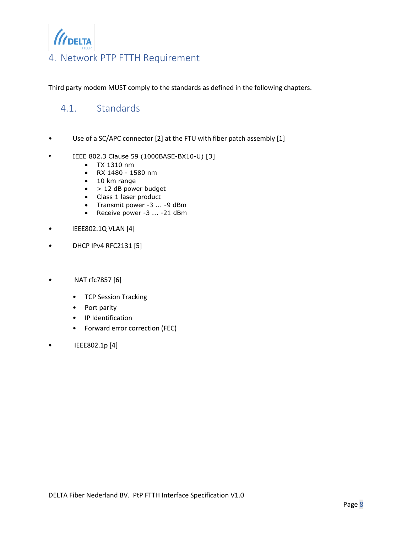

### <span id="page-7-0"></span>4. Network PTP FTTH Requirement

Third party modem MUST comply to the standards as defined in the following chapters.

### <span id="page-7-1"></span>4.1. Standards

- Use of a SC/APC connector [2] at the FTU with fiber patch assembly [1]
- IEEE 802.3 Clause 59 (1000BASE-BX10-U) [3]
	- TX 1310 nm
	- RX 1480 1580 nm
	- 10 km range
	- $\bullet$  > 12 dB power budget
	- Class 1 laser product
	- Transmit power -3 ... -9 dBm
	- Receive power -3 ... -21 dBm
- IEEE802.1Q VLAN [4]
- DHCP IPv4 RFC2131 [5]
- NAT rfc7857 [6]
	- TCP Session Tracking
	- Port parity
	- IP Identification
	- Forward error correction (FEC)
- IEEE802.1p [4]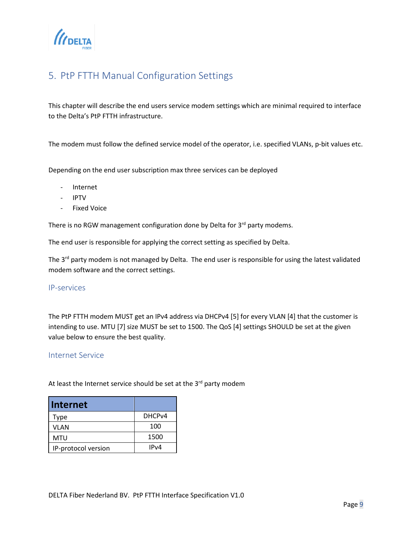

### <span id="page-8-0"></span>5. PtP FTTH Manual Configuration Settings

This chapter will describe the end users service modem settings which are minimal required to interface to the Delta's PtP FTTH infrastructure.

The modem must follow the defined service model of the operator, i.e. specified VLANs, p-bit values etc.

Depending on the end user subscription max three services can be deployed

- Internet
- IPTV
- Fixed Voice

There is no RGW management configuration done by Delta for 3<sup>rd</sup> party modems.

The end user is responsible for applying the correct setting as specified by Delta.

The 3<sup>rd</sup> party modem is not managed by Delta. The end user is responsible for using the latest validated modem software and the correct settings.

#### <span id="page-8-1"></span>IP-services

The PtP FTTH modem MUST get an IPv4 address via DHCPv4 [5] for every VLAN [4] that the customer is intending to use. MTU [7] size MUST be set to 1500. The QoS [4] settings SHOULD be set at the given value below to ensure the best quality.

#### <span id="page-8-2"></span>Internet Service

At least the Internet service should be set at the  $3^{rd}$  party modem

| <b>Internet</b>     |                    |
|---------------------|--------------------|
| Type                | DHCP <sub>v4</sub> |
| VLAN                | 100                |
| MTU                 | 1500               |
| IP-protocol version | IPv4               |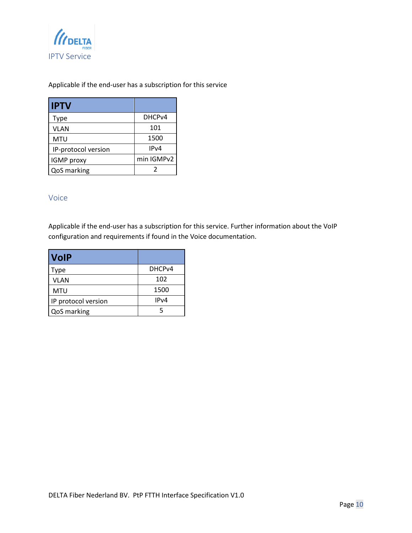<span id="page-9-0"></span>

#### Applicable if the end-user has a subscription for this service

| <b>IPTV</b>         |                    |
|---------------------|--------------------|
| Type                | DHCP <sub>v4</sub> |
| VLAN                | 101                |
| <b>MTU</b>          | 1500               |
| IP-protocol version | IP <sub>v</sub> 4  |
| <b>IGMP</b> proxy   | min IGMPv2         |
| QoS marking         |                    |

#### <span id="page-9-1"></span>Voice

Applicable if the end-user has a subscription for this service. Further information about the VoIP configuration and requirements if found in the Voice documentation.

| <b>VolP</b>         |                    |
|---------------------|--------------------|
| Type                | DHCP <sub>v4</sub> |
| VLAN                | 102                |
| MTU                 | 1500               |
| IP protocol version | IPv4               |
| QoS marking         | 5                  |